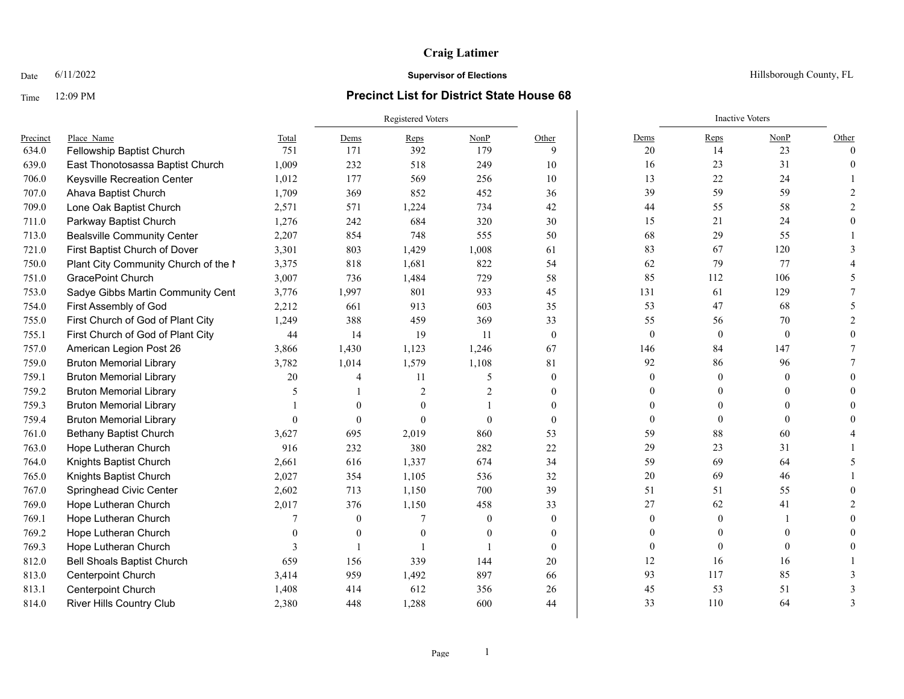# **Craig Latimer**

### Time 12:09 PM **Precinct List for District State House 68**

|          |                                      |          | <b>Registered Voters</b> |                |                |                |                | <b>Inactive Voters</b> |              |          |
|----------|--------------------------------------|----------|--------------------------|----------------|----------------|----------------|----------------|------------------------|--------------|----------|
| Precinct | Place Name                           | Total    | Dems                     | Reps           | NonP           | Other          | Dems           | Reps                   | NonP         | Other    |
| 634.0    | Fellowship Baptist Church            | 751      | 171                      | 392            | 179            | 9              | 20             | 14                     | 23           | $\theta$ |
| 639.0    | East Thonotosassa Baptist Church     | 1,009    | 232                      | 518            | 249            | 10             | 16             | 23                     | 31           |          |
| 706.0    | Keysville Recreation Center          | 1,012    | 177                      | 569            | 256            | 10             | 13             | 22                     | 24           |          |
| 707.0    | Ahava Baptist Church                 | 1,709    | 369                      | 852            | 452            | 36             | 39             | 59                     | 59           |          |
| 709.0    | Lone Oak Baptist Church              | 2,571    | 571                      | 1,224          | 734            | 42             | 44             | 55                     | 58           |          |
| 711.0    | Parkway Baptist Church               | 1,276    | 242                      | 684            | 320            | 30             | 15             | 21                     | 24           |          |
| 713.0    | <b>Bealsville Community Center</b>   | 2,207    | 854                      | 748            | 555            | 50             | 68             | 29                     | 55           |          |
| 721.0    | First Baptist Church of Dover        | 3,301    | 803                      | 1,429          | 1,008          | 61             | 83             | 67                     | 120          |          |
| 750.0    | Plant City Community Church of the I | 3,375    | 818                      | 1,681          | 822            | 54             | 62             | 79                     | 77           |          |
| 751.0    | GracePoint Church                    | 3,007    | 736                      | 1,484          | 729            | 58             | 85             | 112                    | 106          |          |
| 753.0    | Sadye Gibbs Martin Community Cent    | 3,776    | 1,997                    | 801            | 933            | 45             | 131            | 61                     | 129          |          |
| 754.0    | First Assembly of God                | 2,212    | 661                      | 913            | 603            | 35             | 53             | 47                     | 68           |          |
| 755.0    | First Church of God of Plant City    | 1,249    | 388                      | 459            | 369            | 33             | 55             | 56                     | 70           |          |
| 755.1    | First Church of God of Plant City    | 44       | 14                       | 19             | -11            | $\theta$       | $\mathbf{0}$   | $\mathbf{0}$           | $\mathbf{0}$ |          |
| 757.0    | American Legion Post 26              | 3,866    | 1,430                    | 1,123          | 1,246          | 67             | 146            | 84                     | 147          |          |
| 759.0    | <b>Bruton Memorial Library</b>       | 3,782    | 1,014                    | 1,579          | 1,108          | 81             | 92             | 86                     | 96           |          |
| 759.1    | <b>Bruton Memorial Library</b>       | 20       | 4                        | 11             | 5              | $\overline{0}$ | $\mathbf{0}$   | $\theta$               | $\theta$     |          |
| 759.2    | <b>Bruton Memorial Library</b>       | 5        |                          | $\overline{2}$ | $\overline{c}$ | $\overline{0}$ | $\Omega$       |                        | $\Omega$     |          |
| 759.3    | <b>Bruton Memorial Library</b>       |          | $\theta$                 | $\theta$       |                | $\overline{0}$ | $\overline{0}$ |                        |              |          |
| 759.4    | <b>Bruton Memorial Library</b>       | $\Omega$ | $\theta$                 | $\theta$       | $\theta$       | $\overline{0}$ | $\overline{0}$ |                        | $\theta$     |          |
| 761.0    | <b>Bethany Baptist Church</b>        | 3,627    | 695                      | 2,019          | 860            | 53             | 59             | 88                     | 60           |          |
| 763.0    | Hope Lutheran Church                 | 916      | 232                      | 380            | 282            | 22             | 29             | 23                     | 31           |          |
| 764.0    | Knights Baptist Church               | 2,661    | 616                      | 1,337          | 674            | 34             | 59             | 69                     | 64           |          |
| 765.0    | Knights Baptist Church               | 2,027    | 354                      | 1,105          | 536            | 32             | $20\,$         | 69                     | 46           |          |
| 767.0    | Springhead Civic Center              | 2,602    | 713                      | 1,150          | 700            | 39             | 51             | 51                     | 55           |          |
| 769.0    | Hope Lutheran Church                 | 2,017    | 376                      | 1,150          | 458            | 33             | 27             | 62                     | 41           |          |
| 769.1    | Hope Lutheran Church                 |          | $\mathbf{0}$             |                | $\theta$       | $\overline{0}$ | $\mathbf{0}$   | $\mathbf{0}$           |              |          |
| 769.2    | Hope Lutheran Church                 |          | $\theta$                 | $\theta$       | $\left($       | $\overline{0}$ | $\Omega$       |                        | $\Omega$     |          |
| 769.3    | Hope Lutheran Church                 | 3        |                          |                |                | $\theta$       | $\mathbf{0}$   | $\bf{0}$               | $\mathbf{0}$ |          |
| 812.0    | <b>Bell Shoals Baptist Church</b>    | 659      | 156                      | 339            | 144            | 20             | 12             | 16                     | 16           |          |
| 813.0    | <b>Centerpoint Church</b>            | 3,414    | 959                      | 1,492          | 897            | 66             | 93             | 117                    | 85           |          |
| 813.1    | Centerpoint Church                   | 1,408    | 414                      | 612            | 356            | 26             | 45             | 53                     | 51           |          |
| 814.0    | <b>River Hills Country Club</b>      | 2,380    | 448                      | 1,288          | 600            | 44             | 33             | 110                    | 64           |          |

#### Date  $6/11/2022$  Hillsborough County, FL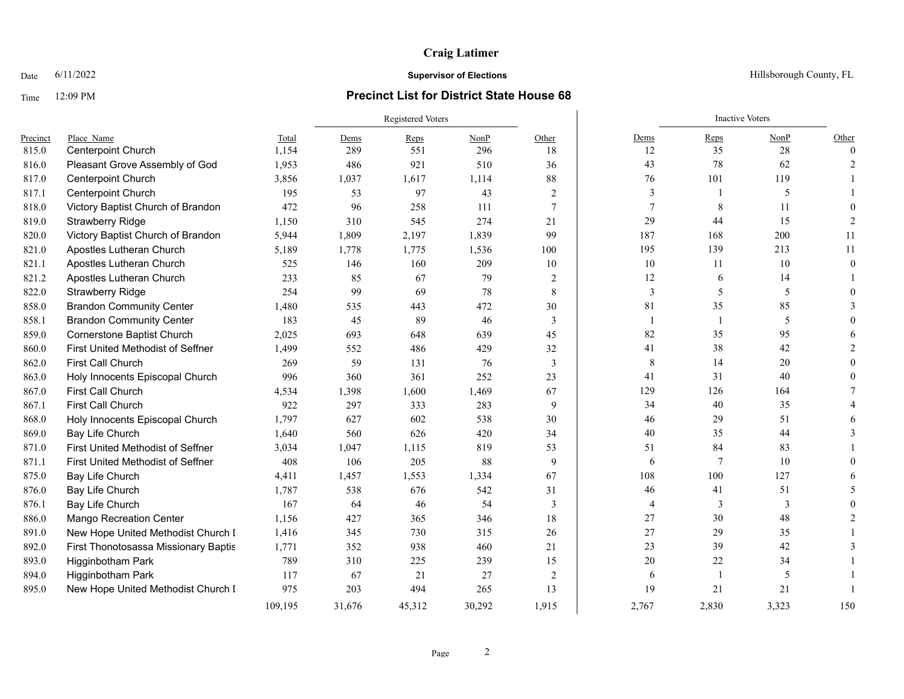# **Craig Latimer**

### Time 12:09 PM **Precinct List for District State House 68**

|          |                                      |         | <b>Registered Voters</b> |        |        |       | <b>Inactive Voters</b> |                |        |          |
|----------|--------------------------------------|---------|--------------------------|--------|--------|-------|------------------------|----------------|--------|----------|
| Precinct | Place Name                           | Total   | Dems                     | $Reps$ | NonP   | Other | Dems                   | Reps           | NonP   | Other    |
| 815.0    | <b>Centerpoint Church</b>            | 1,154   | 289                      | 551    | 296    | 18    | 12                     | 35             | $28\,$ | $\theta$ |
| 816.0    | Pleasant Grove Assembly of God       | 1,953   | 486                      | 921    | 510    | 36    | 43                     | 78             | 62     |          |
| 817.0    | Centerpoint Church                   | 3,856   | 1,037                    | 1,617  | 1,114  | 88    | 76                     | 101            | 119    |          |
| 817.1    | <b>Centerpoint Church</b>            | 195     | 53                       | 97     | 43     | 2     | 3                      |                | 5      |          |
| 818.0    | Victory Baptist Church of Brandon    | 472     | 96                       | 258    | 111    | 7     | $\overline{7}$         | 8              | 11     |          |
| 819.0    | <b>Strawberry Ridge</b>              | 1,150   | 310                      | 545    | 274    | 21    | 29                     | 44             | 15     |          |
| 820.0    | Victory Baptist Church of Brandon    | 5,944   | 1,809                    | 2,197  | 1,839  | 99    | 187                    | 168            | 200    | 11       |
| 821.0    | Apostles Lutheran Church             | 5,189   | 1,778                    | 1,775  | 1,536  | 100   | 195                    | 139            | 213    | 11       |
| 821.1    | Apostles Lutheran Church             | 525     | 146                      | 160    | 209    | 10    | 10                     | 11             | 10     | $\Omega$ |
| 821.2    | Apostles Lutheran Church             | 233     | 85                       | 67     | 79     | 2     | 12                     | 6              | 14     |          |
| 822.0    | <b>Strawberry Ridge</b>              | 254     | 99                       | 69     | 78     | 8     | 3                      | 5              | 5      |          |
| 858.0    | <b>Brandon Community Center</b>      | 1,480   | 535                      | 443    | 472    | 30    | 81                     | 35             | 85     |          |
| 858.1    | <b>Brandon Community Center</b>      | 183     | 45                       | 89     | 46     | 3     | $\mathbf{1}$           | $\overline{1}$ | 5      |          |
| 859.0    | Cornerstone Baptist Church           | 2,025   | 693                      | 648    | 639    | 45    | 82                     | 35             | 95     |          |
| 860.0    | First United Methodist of Seffner    | 1,499   | 552                      | 486    | 429    | 32    | 41                     | 38             | 42     |          |
| 862.0    | First Call Church                    | 269     | 59                       | 131    | 76     | 3     | 8                      | 14             | 20     |          |
| 863.0    | Holy Innocents Episcopal Church      | 996     | 360                      | 361    | 252    | 23    | 41                     | 31             | 40     |          |
| 867.0    | First Call Church                    | 4,534   | 1,398                    | 1,600  | 1,469  | 67    | 129                    | 126            | 164    |          |
| 867.1    | First Call Church                    | 922     | 297                      | 333    | 283    | 9     | 34                     | 40             | 35     |          |
| 868.0    | Holy Innocents Episcopal Church      | 1,797   | 627                      | 602    | 538    | 30    | 46                     | 29             | 51     |          |
| 869.0    | Bay Life Church                      | 1,640   | 560                      | 626    | 420    | 34    | 40                     | 35             | 44     |          |
| 871.0    | First United Methodist of Seffner    | 3,034   | 1,047                    | 1,115  | 819    | 53    | 51                     | 84             | 83     |          |
| 871.1    | First United Methodist of Seffner    | 408     | 106                      | 205    | 88     | 9     | 6                      | 7              | 10     |          |
| 875.0    | Bay Life Church                      | 4,411   | 1,457                    | 1,553  | 1,334  | 67    | 108                    | 100            | 127    |          |
| 876.0    | Bay Life Church                      | 1,787   | 538                      | 676    | 542    | 31    | 46                     | 41             | 51     |          |
| 876.1    | Bay Life Church                      | 167     | 64                       | 46     | 54     | 3     | 4                      | 3              | 3      |          |
| 886.0    | <b>Mango Recreation Center</b>       | 1,156   | 427                      | 365    | 346    | 18    | $27\,$                 | 30             | 48     |          |
| 891.0    | New Hope United Methodist Church I   | 1,416   | 345                      | 730    | 315    | 26    | $27\,$                 | 29             | 35     |          |
| 892.0    | First Thonotosassa Missionary Baptis | 1,771   | 352                      | 938    | 460    | 21    | 23                     | 39             | 42     |          |
| 893.0    | Higginbotham Park                    | 789     | 310                      | 225    | 239    | 15    | 20                     | 22             | 34     |          |
| 894.0    | Higginbotham Park                    | 117     | 67                       | 21     | 27     | 2     | 6                      | $\overline{1}$ | 5      |          |
| 895.0    | New Hope United Methodist Church I   | 975     | 203                      | 494    | 265    | 13    | 19                     | 21             | 21     |          |
|          |                                      | 109,195 | 31,676                   | 45,312 | 30,292 | 1,915 | 2,767                  | 2,830          | 3,323  | 150      |

Date  $6/11/2022$  Hillsborough County, FL